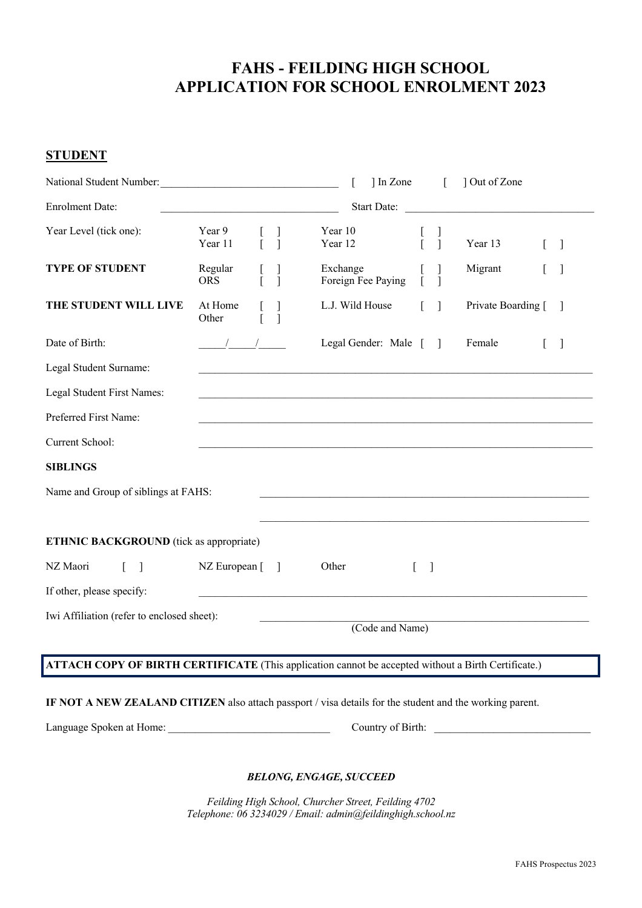# **FAHS - FEILDING HIGH SCHOOL APPLICATION FOR SCHOOL ENROLMENT 2023**

#### **STUDENT**

| National Student Number:<br>1988 - Campione Student Number:<br>1988 - Campione Student Number:<br>1988 - Campione Student Number: |                       |                    |                                       | L                  | 1 In Zone              |                                          | $\lceil$                             | ] Out of Zone      |          |                          |
|-----------------------------------------------------------------------------------------------------------------------------------|-----------------------|--------------------|---------------------------------------|--------------------|------------------------|------------------------------------------|--------------------------------------|--------------------|----------|--------------------------|
| <b>Enrolment Date:</b>                                                                                                            |                       |                    |                                       |                    |                        |                                          |                                      | Start Date:        |          |                          |
| Year Level (tick one):                                                                                                            | Year 9<br>Year 11     | $\frac{1}{1}$      | $\frac{1}{1}$                         | Year 10<br>Year 12 |                        | l<br>[                                   | $\begin{matrix} 1 \\ 1 \end{matrix}$ | Year 13            | $\lceil$ | $\overline{\phantom{a}}$ |
| <b>TYPE OF STUDENT</b>                                                                                                            | Regular<br><b>ORS</b> | $\frac{1}{\Gamma}$ |                                       | Exchange           | Foreign Fee Paying     |                                          |                                      | Migrant            |          |                          |
| THE STUDENT WILL LIVE                                                                                                             | At Home<br>Other      |                    | $\begin{array}{c} 1 \\ 1 \end{array}$ | L.J. Wild House    |                        |                                          | -1                                   | Private Boarding [ |          | $\Box$                   |
| Date of Birth:                                                                                                                    | $\frac{1}{\sqrt{2}}$  |                    |                                       |                    | Legal Gender: Male [ ] |                                          |                                      | Female             |          | $\Box$                   |
| Legal Student Surname:                                                                                                            |                       |                    |                                       |                    |                        |                                          |                                      |                    |          |                          |
| Legal Student First Names:                                                                                                        |                       |                    |                                       |                    |                        |                                          |                                      |                    |          |                          |
| Preferred First Name:                                                                                                             |                       |                    |                                       |                    |                        |                                          |                                      |                    |          |                          |
| Current School:                                                                                                                   |                       |                    |                                       |                    |                        |                                          |                                      |                    |          |                          |
| <b>SIBLINGS</b>                                                                                                                   |                       |                    |                                       |                    |                        |                                          |                                      |                    |          |                          |
| Name and Group of siblings at FAHS:                                                                                               |                       |                    |                                       |                    |                        |                                          |                                      |                    |          |                          |
| <b>ETHNIC BACKGROUND</b> (tick as appropriate)                                                                                    |                       |                    |                                       |                    |                        |                                          |                                      |                    |          |                          |
| NZ Maori<br>$\lceil$<br>$\Box$                                                                                                    | NZ European [         |                    | $\overline{1}$                        | Other              |                        | $\overline{\phantom{a}}$<br>$\mathbb{L}$ |                                      |                    |          |                          |
| If other, please specify:                                                                                                         |                       |                    |                                       |                    |                        |                                          |                                      |                    |          |                          |
| Iwi Affiliation (refer to enclosed sheet):                                                                                        |                       |                    |                                       |                    | (Code and Name)        |                                          |                                      |                    |          |                          |
| ATTACH COPY OF BIRTH CERTIFICATE (This application cannot be accepted without a Birth Certificate.)                               |                       |                    |                                       |                    |                        |                                          |                                      |                    |          |                          |

#### **IF NOT A NEW ZEALAND CITIZEN** also attach passport / visa details for the student and the working parent.

Language Spoken at Home: \_\_\_\_\_\_\_\_\_\_\_\_\_\_\_\_\_\_\_\_\_\_\_\_\_\_\_\_\_\_ Country of Birth: \_\_\_\_\_\_\_\_\_\_\_\_\_\_\_\_\_\_\_\_\_\_\_\_\_\_\_\_\_

#### *BELONG, ENGAGE, SUCCEED*

*Feilding High School, Churcher Street, Feilding 4702 Telephone: 06 3234029 / Email: admin@feildinghigh.school.nz*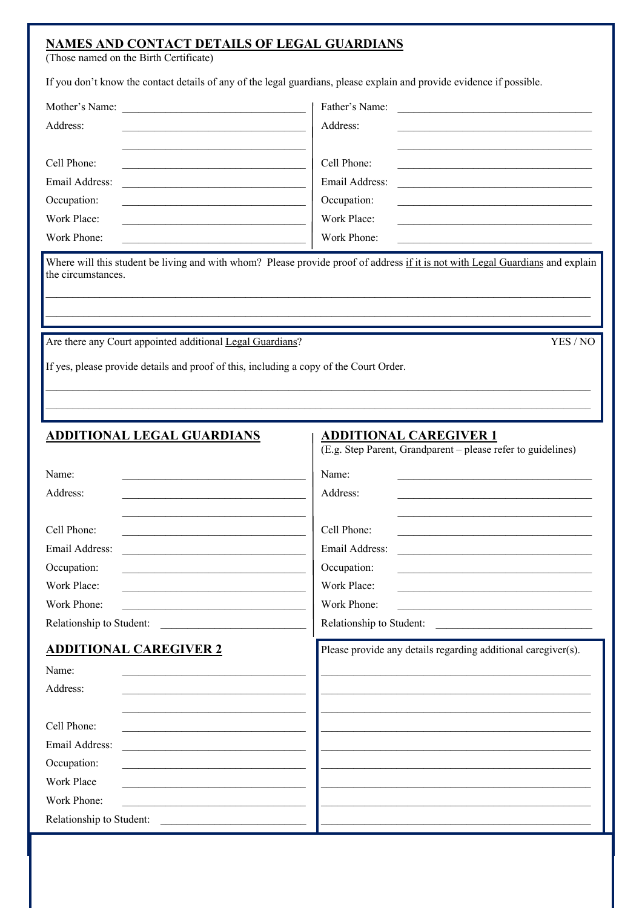### **NAMES AND CONTACT DETAILS OF LEGAL GUARDIANS**

(Those named on the Birth Certificate)

Occupation: Work Place Work Phone:

Relationship to Student:

|                                                                                                             | If you don't know the contact details of any of the legal guardians, please explain and provide evidence if possible. |
|-------------------------------------------------------------------------------------------------------------|-----------------------------------------------------------------------------------------------------------------------|
| Mother's Name:                                                                                              | Father's Name:<br>the control of the control of the control of the control of the control of                          |
| Address:                                                                                                    | Address:                                                                                                              |
| Cell Phone:                                                                                                 | Cell Phone:                                                                                                           |
| Email Address:<br>the control of the control of the control of the control of the control of the control of | Email Address:                                                                                                        |
| Occupation:                                                                                                 | Occupation:<br>the control of the control of the control of the control of the control of the control of              |
| <b>Work Place:</b>                                                                                          | Work Place:                                                                                                           |
| Work Phone:<br><u> 1980 - Johann Barbara, martxa al</u>                                                     | Work Phone:                                                                                                           |
| the circumstances.                                                                                          |                                                                                                                       |
| Are there any Court appointed additional Legal Guardians?                                                   | YES / NO                                                                                                              |
| If yes, please provide details and proof of this, including a copy of the Court Order.                      |                                                                                                                       |
|                                                                                                             |                                                                                                                       |
|                                                                                                             |                                                                                                                       |
| <b>ADDITIONAL LEGAL GUARDIANS</b>                                                                           | <b>ADDITIONAL CAREGIVER 1</b><br>(E.g. Step Parent, Grandparent – please refer to guidelines)                         |
| Name:                                                                                                       | Name:                                                                                                                 |
| Address:                                                                                                    | Address:                                                                                                              |
|                                                                                                             |                                                                                                                       |
| Cell Phone:                                                                                                 | Cell Phone:                                                                                                           |
| Email Address:                                                                                              | Email Address:                                                                                                        |
| Occupation:<br>the control of the control of the control of the control of the control of                   | Occupation:<br><u> 1989 - Johann John Stone, mars eta biztanleria (h. 1989).</u>                                      |
| <b>Work Place:</b><br>the control of the control of the control of the control of the control of            | Work Place:<br>the control of the control of the control of the control of the control of the control of              |
| Work Phone:<br>the control of the control of the control of the control of the control of the control of    | Work Phone:                                                                                                           |
| Relationship to Student:                                                                                    | Relationship to Student:                                                                                              |
| <b>ADDITIONAL CAREGIVER 2</b>                                                                               | Please provide any details regarding additional caregiver(s).                                                         |
| Name:                                                                                                       |                                                                                                                       |
| Address:                                                                                                    |                                                                                                                       |
|                                                                                                             |                                                                                                                       |
| Cell Phone:                                                                                                 |                                                                                                                       |
|                                                                                                             |                                                                                                                       |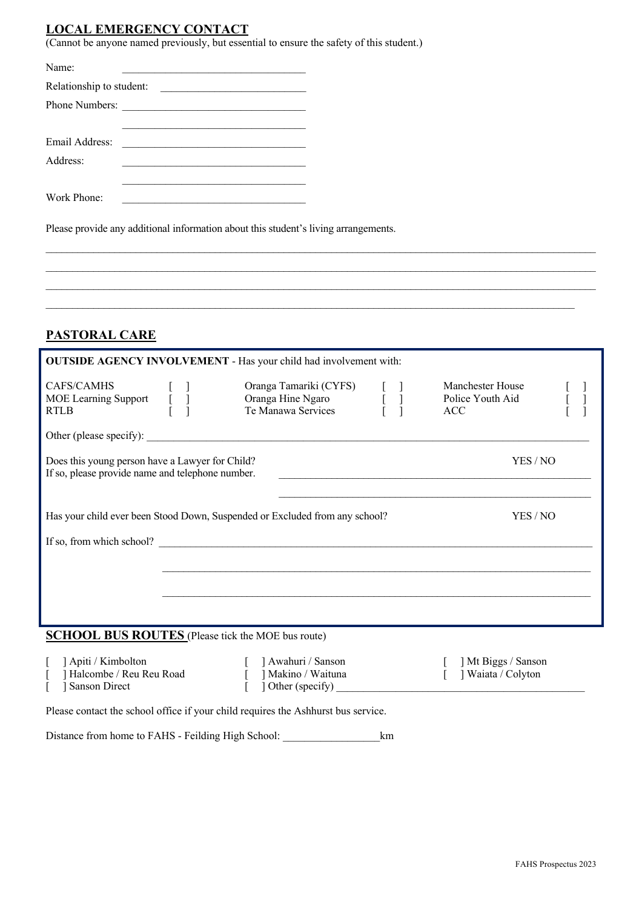## **LOCAL EMERGENCY CONTACT**

(Cannot be anyone named previously, but essential to ensure the safety of this student.)

| Name:                    |                                                                                                                      |
|--------------------------|----------------------------------------------------------------------------------------------------------------------|
| Relationship to student: | <u> 1980 - Andrea Albert III, poet al provincia a la provincia al provincia a la provincia al provincia a la pro</u> |
|                          | Phone Numbers:                                                                                                       |
|                          |                                                                                                                      |
| Email Address:           |                                                                                                                      |
| Address:                 |                                                                                                                      |
|                          |                                                                                                                      |
| Work Phone:              |                                                                                                                      |

Please provide any additional information about this student's living arrangements.

### **PASTORAL CARE**

| <b>OUTSIDE AGENCY INVOLVEMENT - Has your child had involvement with:</b>                                                                                                                                                                                                                                                                                                                                                     |                                                                                                               |                                                                                                                                                                      |  |                                                                                                            |  |  |  |
|------------------------------------------------------------------------------------------------------------------------------------------------------------------------------------------------------------------------------------------------------------------------------------------------------------------------------------------------------------------------------------------------------------------------------|---------------------------------------------------------------------------------------------------------------|----------------------------------------------------------------------------------------------------------------------------------------------------------------------|--|------------------------------------------------------------------------------------------------------------|--|--|--|
|                                                                                                                                                                                                                                                                                                                                                                                                                              |                                                                                                               | CAFS/CAMHS [ ] Oranga Tamariki (CYFS) [ ] Manchester House<br>MOE Learning Support [ ] Oranga Hine Ngaro [ ] Police Youth Aid<br>RTLB [ ] Te Manawa Services [ ] ACC |  |                                                                                                            |  |  |  |
|                                                                                                                                                                                                                                                                                                                                                                                                                              |                                                                                                               |                                                                                                                                                                      |  |                                                                                                            |  |  |  |
|                                                                                                                                                                                                                                                                                                                                                                                                                              | Does this young person have a Lawyer for Child?<br>YES/NO<br>If so, please provide name and telephone number. |                                                                                                                                                                      |  |                                                                                                            |  |  |  |
|                                                                                                                                                                                                                                                                                                                                                                                                                              |                                                                                                               | Has your child ever been Stood Down, Suspended or Excluded from any school?                                                                                          |  | YES / NO                                                                                                   |  |  |  |
|                                                                                                                                                                                                                                                                                                                                                                                                                              |                                                                                                               | If so, from which school?                                                                                                                                            |  |                                                                                                            |  |  |  |
|                                                                                                                                                                                                                                                                                                                                                                                                                              |                                                                                                               | ,我们也不能在这里的时候,我们也不能在这里的时候,我们也不能会在这里的时候,我们也不能会在这里的时候,我们也不能会在这里的时候,我们也不能会在这里的时候,我们也不                                                                                    |  |                                                                                                            |  |  |  |
|                                                                                                                                                                                                                                                                                                                                                                                                                              |                                                                                                               |                                                                                                                                                                      |  |                                                                                                            |  |  |  |
|                                                                                                                                                                                                                                                                                                                                                                                                                              |                                                                                                               |                                                                                                                                                                      |  |                                                                                                            |  |  |  |
| <b>SCHOOL BUS ROUTES</b> (Please tick the MOE bus route)                                                                                                                                                                                                                                                                                                                                                                     |                                                                                                               |                                                                                                                                                                      |  |                                                                                                            |  |  |  |
| $\mathbf{r} = \mathbf{r} + \mathbf{r} + \mathbf{r} + \mathbf{r} + \mathbf{r} + \mathbf{r} + \mathbf{r} + \mathbf{r} + \mathbf{r} + \mathbf{r} + \mathbf{r} + \mathbf{r} + \mathbf{r} + \mathbf{r} + \mathbf{r} + \mathbf{r} + \mathbf{r} + \mathbf{r} + \mathbf{r} + \mathbf{r} + \mathbf{r} + \mathbf{r} + \mathbf{r} + \mathbf{r} + \mathbf{r} + \mathbf{r} + \mathbf{r} + \mathbf{r} + \mathbf{r} + \mathbf{r} + \mathbf$ |                                                                                                               |                                                                                                                                                                      |  | $\mathbf{r} = \mathbf{r} \cdot \mathbf{r}$ , $\mathbf{r} \cdot \mathbf{r}$ , $\mathbf{r} \cdot \mathbf{r}$ |  |  |  |

 $\mathcal{L}_\mathcal{L} = \mathcal{L}_\mathcal{L} = \mathcal{L}_\mathcal{L} = \mathcal{L}_\mathcal{L} = \mathcal{L}_\mathcal{L} = \mathcal{L}_\mathcal{L} = \mathcal{L}_\mathcal{L} = \mathcal{L}_\mathcal{L} = \mathcal{L}_\mathcal{L} = \mathcal{L}_\mathcal{L} = \mathcal{L}_\mathcal{L} = \mathcal{L}_\mathcal{L} = \mathcal{L}_\mathcal{L} = \mathcal{L}_\mathcal{L} = \mathcal{L}_\mathcal{L} = \mathcal{L}_\mathcal{L} = \mathcal{L}_\mathcal{L}$ 

 $\mathcal{L}_\text{max} = \mathcal{L}_\text{max} = \mathcal{L}_\text{max} = \mathcal{L}_\text{max} = \mathcal{L}_\text{max} = \mathcal{L}_\text{max} = \mathcal{L}_\text{max} = \mathcal{L}_\text{max} = \mathcal{L}_\text{max} = \mathcal{L}_\text{max} = \mathcal{L}_\text{max} = \mathcal{L}_\text{max} = \mathcal{L}_\text{max} = \mathcal{L}_\text{max} = \mathcal{L}_\text{max} = \mathcal{L}_\text{max} = \mathcal{L}_\text{max} = \mathcal{L}_\text{max} = \mathcal{$  $\mathcal{L}_\text{max}$ 

| [ ] Apiti / Kimbolton   | [ ] Awahuri / Sanson       | Mt Biggs / Sanson |
|-------------------------|----------------------------|-------------------|
| Halcombe / Reu Reu Road | [ ] Makino / Waituna       | Vaiata / Colyton  |
| Sanson Direct           | $\lceil$ 1 Other (specify) |                   |
|                         |                            |                   |

Please contact the school office if your child requires the Ashhurst bus service.

Distance from home to FAHS - Feilding High School: \_\_\_\_\_\_\_\_\_\_\_\_\_\_\_\_\_\_km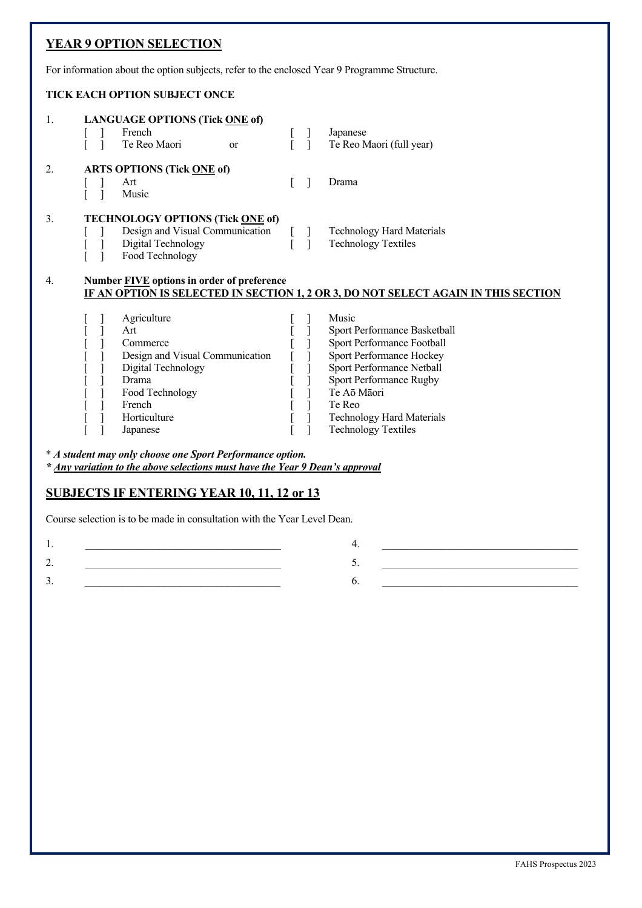### **YEAR 9 OPTION SELECTION**

For information about the option subjects, refer to the enclosed Year 9 Programme Structure.

#### **TICK EACH OPTION SUBJECT ONCE**

| 1. | <b>LANGUAGE OPTIONS (Tick ONE of)</b><br>French<br>Te Reo Maori<br>or                                               |  | Japanese<br>Te Reo Maori (full year)                           |
|----|---------------------------------------------------------------------------------------------------------------------|--|----------------------------------------------------------------|
| 2. | <b>ARTS OPTIONS (Tick ONE of)</b><br>Art<br>Music                                                                   |  | Drama                                                          |
| 3. | <b>TECHNOLOGY OPTIONS (Tick ONE of)</b><br>Design and Visual Communication<br>Digital Technology<br>Food Technology |  | <b>Technology Hard Materials</b><br><b>Technology Textiles</b> |

#### 4. **Number FIVE options in order of preference IF AN OPTION IS SELECTED IN SECTION 1, 2 OR 3, DO NOT SELECT AGAIN IN THIS SECTION**

|  | Agriculture                     |  | Music                            |
|--|---------------------------------|--|----------------------------------|
|  | Art                             |  | Sport Performance Basketball     |
|  | Commerce                        |  | Sport Performance Football       |
|  | Design and Visual Communication |  | Sport Performance Hockey         |
|  | Digital Technology              |  | Sport Performance Netball        |
|  | Drama                           |  | Sport Performance Rugby          |
|  | Food Technology                 |  | Te Aō Māori                      |
|  | French                          |  | Te Reo                           |
|  | Horticulture                    |  | <b>Technology Hard Materials</b> |
|  | Japanese                        |  | <b>Technology Textiles</b>       |

\* *A student may only choose one Sport Performance option.*

*\* Any variation to the above selections must have the Year 9 Dean's approval*

#### **SUBJECTS IF ENTERING YEAR 10, 11, 12 or 13**

Course selection is to be made in consultation with the Year Level Dean.